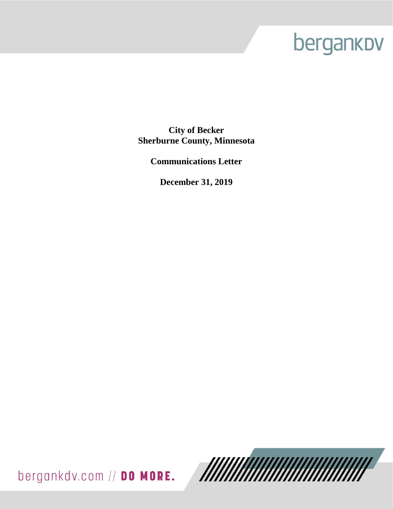# bergankov

**City of Becker Sherburne County, Minnesota**

**Communications Letter**

**December 31, 2019**

bergankdv.com // DO MORE.

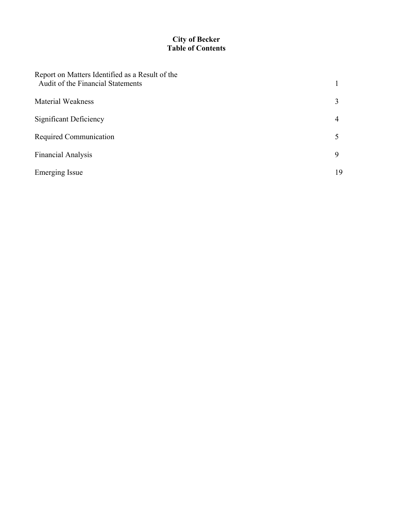# **City of Becker Table of Contents**

| Report on Matters Identified as a Result of the<br>Audit of the Financial Statements |                |
|--------------------------------------------------------------------------------------|----------------|
| <b>Material Weakness</b>                                                             | 3              |
| Significant Deficiency                                                               | $\overline{4}$ |
| Required Communication                                                               | 5              |
| <b>Financial Analysis</b>                                                            | 9              |
| <b>Emerging Issue</b>                                                                | 19             |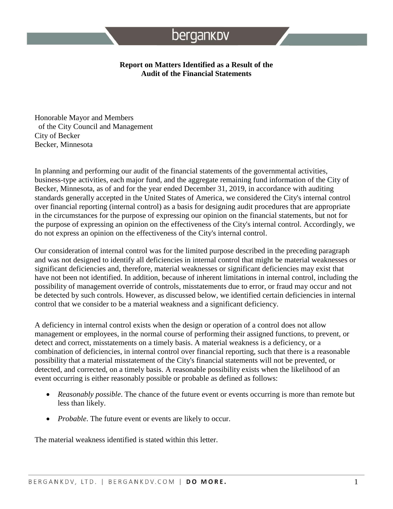#### **Report on Matters Identified as a Result of the Audit of the Financial Statements**

Honorable Mayor and Members of the City Council and Management City of Becker Becker, Minnesota

In planning and performing our audit of the financial statements of the governmental activities, business-type activities, each major fund, and the aggregate remaining fund information of the City of Becker, Minnesota, as of and for the year ended December 31, 2019, in accordance with auditing standards generally accepted in the United States of America, we considered the City's internal control over financial reporting (internal control) as a basis for designing audit procedures that are appropriate in the circumstances for the purpose of expressing our opinion on the financial statements, but not for the purpose of expressing an opinion on the effectiveness of the City's internal control. Accordingly, we do not express an opinion on the effectiveness of the City's internal control.

Our consideration of internal control was for the limited purpose described in the preceding paragraph and was not designed to identify all deficiencies in internal control that might be material weaknesses or significant deficiencies and, therefore, material weaknesses or significant deficiencies may exist that have not been not identified. In addition, because of inherent limitations in internal control, including the possibility of management override of controls, misstatements due to error, or fraud may occur and not be detected by such controls. However, as discussed below, we identified certain deficiencies in internal control that we consider to be a material weakness and a significant deficiency.

A deficiency in internal control exists when the design or operation of a control does not allow management or employees, in the normal course of performing their assigned functions, to prevent, or detect and correct, misstatements on a timely basis. A material weakness is a deficiency, or a combination of deficiencies, in internal control over financial reporting, such that there is a reasonable possibility that a material misstatement of the City's financial statements will not be prevented, or detected, and corrected, on a timely basis. A reasonable possibility exists when the likelihood of an event occurring is either reasonably possible or probable as defined as follows:

- *Reasonably possible*. The chance of the future event or events occurring is more than remote but less than likely.
- *Probable*. The future event or events are likely to occur.

The material weakness identified is stated within this letter.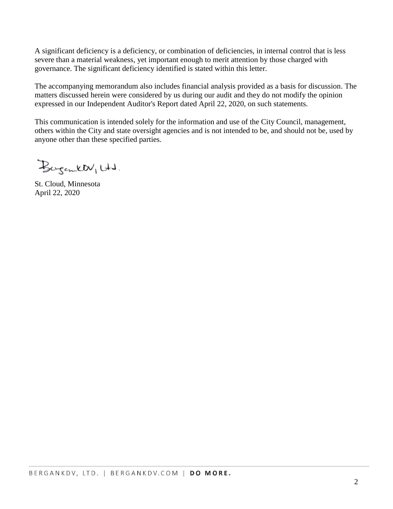A significant deficiency is a deficiency, or combination of deficiencies, in internal control that is less severe than a material weakness, yet important enough to merit attention by those charged with governance. The significant deficiency identified is stated within this letter.

The accompanying memorandum also includes financial analysis provided as a basis for discussion. The matters discussed herein were considered by us during our audit and they do not modify the opinion expressed in our Independent Auditor's Report dated April 22, 2020, on such statements.

This communication is intended solely for the information and use of the City Council, management, others within the City and state oversight agencies and is not intended to be, and should not be, used by anyone other than these specified parties.

Bergantt Utd.

St. Cloud, Minnesota April 22, 2020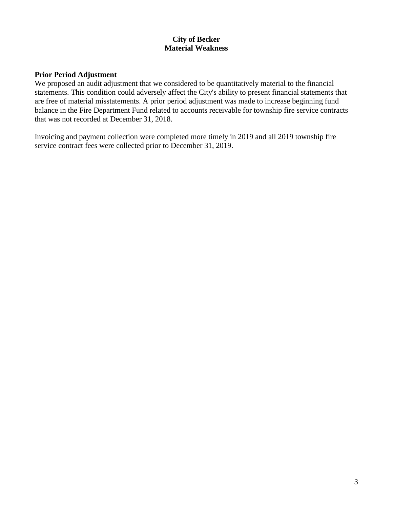# **City of Becker Material Weakness**

#### **Prior Period Adjustment**

We proposed an audit adjustment that we considered to be quantitatively material to the financial statements. This condition could adversely affect the City's ability to present financial statements that are free of material misstatements. A prior period adjustment was made to increase beginning fund balance in the Fire Department Fund related to accounts receivable for township fire service contracts that was not recorded at December 31, 2018.

Invoicing and payment collection were completed more timely in 2019 and all 2019 township fire service contract fees were collected prior to December 31, 2019.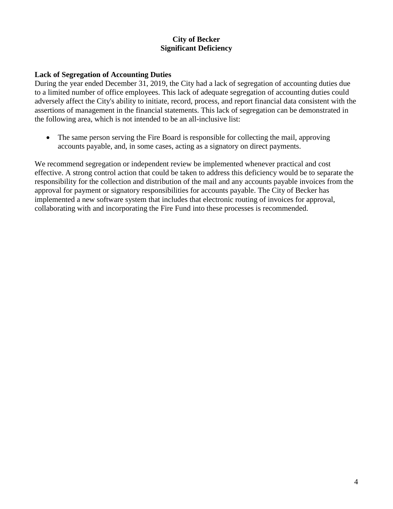# **City of Becker Significant Deficiency**

#### **Lack of Segregation of Accounting Duties**

During the year ended December 31, 2019, the City had a lack of segregation of accounting duties due to a limited number of office employees. This lack of adequate segregation of accounting duties could adversely affect the City's ability to initiate, record, process, and report financial data consistent with the assertions of management in the financial statements. This lack of segregation can be demonstrated in the following area, which is not intended to be an all-inclusive list:

• The same person serving the Fire Board is responsible for collecting the mail, approving accounts payable, and, in some cases, acting as a signatory on direct payments.

We recommend segregation or independent review be implemented whenever practical and cost effective. A strong control action that could be taken to address this deficiency would be to separate the responsibility for the collection and distribution of the mail and any accounts payable invoices from the approval for payment or signatory responsibilities for accounts payable. The City of Becker has implemented a new software system that includes that electronic routing of invoices for approval, collaborating with and incorporating the Fire Fund into these processes is recommended.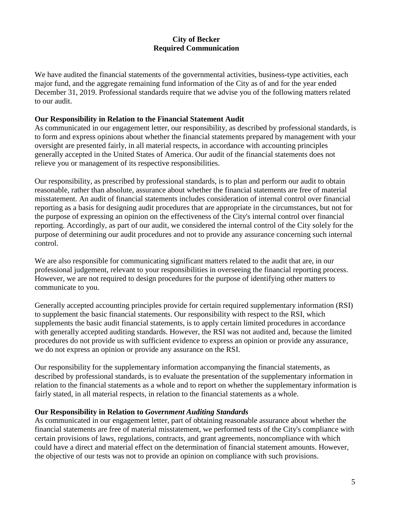We have audited the financial statements of the governmental activities, business-type activities, each major fund, and the aggregate remaining fund information of the City as of and for the year ended December 31, 2019. Professional standards require that we advise you of the following matters related to our audit.

#### **Our Responsibility in Relation to the Financial Statement Audit**

As communicated in our engagement letter, our responsibility, as described by professional standards, is to form and express opinions about whether the financial statements prepared by management with your oversight are presented fairly, in all material respects, in accordance with accounting principles generally accepted in the United States of America. Our audit of the financial statements does not relieve you or management of its respective responsibilities.

Our responsibility, as prescribed by professional standards, is to plan and perform our audit to obtain reasonable, rather than absolute, assurance about whether the financial statements are free of material misstatement. An audit of financial statements includes consideration of internal control over financial reporting as a basis for designing audit procedures that are appropriate in the circumstances, but not for the purpose of expressing an opinion on the effectiveness of the City's internal control over financial reporting. Accordingly, as part of our audit, we considered the internal control of the City solely for the purpose of determining our audit procedures and not to provide any assurance concerning such internal control.

We are also responsible for communicating significant matters related to the audit that are, in our professional judgement, relevant to your responsibilities in overseeing the financial reporting process. However, we are not required to design procedures for the purpose of identifying other matters to communicate to you.

Generally accepted accounting principles provide for certain required supplementary information (RSI) to supplement the basic financial statements. Our responsibility with respect to the RSI, which supplements the basic audit financial statements, is to apply certain limited procedures in accordance with generally accepted auditing standards. However, the RSI was not audited and, because the limited procedures do not provide us with sufficient evidence to express an opinion or provide any assurance, we do not express an opinion or provide any assurance on the RSI.

Our responsibility for the supplementary information accompanying the financial statements, as described by professional standards, is to evaluate the presentation of the supplementary information in relation to the financial statements as a whole and to report on whether the supplementary information is fairly stated, in all material respects, in relation to the financial statements as a whole.

## **Our Responsibility in Relation to** *Government Auditing Standards*

As communicated in our engagement letter, part of obtaining reasonable assurance about whether the financial statements are free of material misstatement, we performed tests of the City's compliance with certain provisions of laws, regulations, contracts, and grant agreements, noncompliance with which could have a direct and material effect on the determination of financial statement amounts. However, the objective of our tests was not to provide an opinion on compliance with such provisions.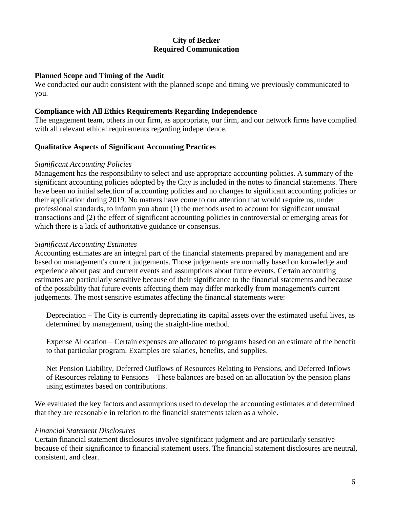#### **Planned Scope and Timing of the Audit**

We conducted our audit consistent with the planned scope and timing we previously communicated to you.

#### **Compliance with All Ethics Requirements Regarding Independence**

The engagement team, others in our firm, as appropriate, our firm, and our network firms have complied with all relevant ethical requirements regarding independence.

## **Qualitative Aspects of Significant Accounting Practices**

#### *Significant Accounting Policies*

Management has the responsibility to select and use appropriate accounting policies. A summary of the significant accounting policies adopted by the City is included in the notes to financial statements. There have been no initial selection of accounting policies and no changes to significant accounting policies or their application during 2019. No matters have come to our attention that would require us, under professional standards, to inform you about (1) the methods used to account for significant unusual transactions and (2) the effect of significant accounting policies in controversial or emerging areas for which there is a lack of authoritative guidance or consensus.

## *Significant Accounting Estimates*

Accounting estimates are an integral part of the financial statements prepared by management and are based on management's current judgements. Those judgements are normally based on knowledge and experience about past and current events and assumptions about future events. Certain accounting estimates are particularly sensitive because of their significance to the financial statements and because of the possibility that future events affecting them may differ markedly from management's current judgements. The most sensitive estimates affecting the financial statements were:

Depreciation – The City is currently depreciating its capital assets over the estimated useful lives, as determined by management, using the straight-line method.

Expense Allocation – Certain expenses are allocated to programs based on an estimate of the benefit to that particular program. Examples are salaries, benefits, and supplies.

Net Pension Liability, Deferred Outflows of Resources Relating to Pensions, and Deferred Inflows of Resources relating to Pensions – These balances are based on an allocation by the pension plans using estimates based on contributions.

We evaluated the key factors and assumptions used to develop the accounting estimates and determined that they are reasonable in relation to the financial statements taken as a whole.

## *Financial Statement Disclosures*

Certain financial statement disclosures involve significant judgment and are particularly sensitive because of their significance to financial statement users. The financial statement disclosures are neutral, consistent, and clear.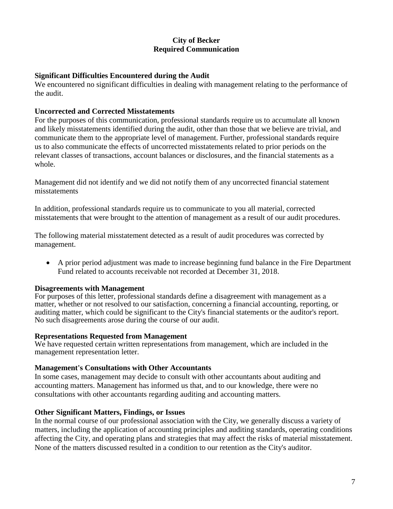#### **Significant Difficulties Encountered during the Audit**

We encountered no significant difficulties in dealing with management relating to the performance of the audit.

#### **Uncorrected and Corrected Misstatements**

For the purposes of this communication, professional standards require us to accumulate all known and likely misstatements identified during the audit, other than those that we believe are trivial, and communicate them to the appropriate level of management. Further, professional standards require us to also communicate the effects of uncorrected misstatements related to prior periods on the relevant classes of transactions, account balances or disclosures, and the financial statements as a whole.

Management did not identify and we did not notify them of any uncorrected financial statement misstatements

In addition, professional standards require us to communicate to you all material, corrected misstatements that were brought to the attention of management as a result of our audit procedures.

The following material misstatement detected as a result of audit procedures was corrected by management.

 A prior period adjustment was made to increase beginning fund balance in the Fire Department Fund related to accounts receivable not recorded at December 31, 2018.

#### **Disagreements with Management**

For purposes of this letter, professional standards define a disagreement with management as a matter, whether or not resolved to our satisfaction, concerning a financial accounting, reporting, or auditing matter, which could be significant to the City's financial statements or the auditor's report. No such disagreements arose during the course of our audit.

#### **Representations Requested from Management**

We have requested certain written representations from management, which are included in the management representation letter.

#### **Management's Consultations with Other Accountants**

In some cases, management may decide to consult with other accountants about auditing and accounting matters. Management has informed us that, and to our knowledge, there were no consultations with other accountants regarding auditing and accounting matters.

## **Other Significant Matters, Findings, or Issues**

In the normal course of our professional association with the City, we generally discuss a variety of matters, including the application of accounting principles and auditing standards, operating conditions affecting the City, and operating plans and strategies that may affect the risks of material misstatement. None of the matters discussed resulted in a condition to our retention as the City's auditor.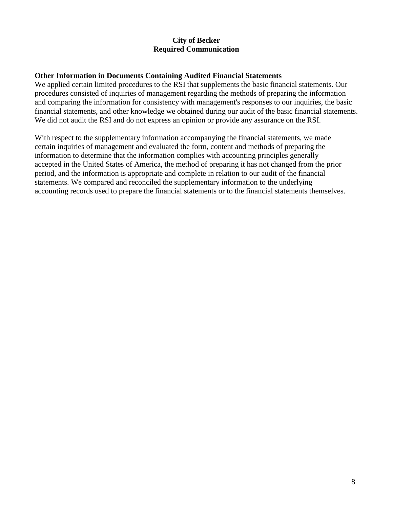#### **Other Information in Documents Containing Audited Financial Statements**

We applied certain limited procedures to the RSI that supplements the basic financial statements. Our procedures consisted of inquiries of management regarding the methods of preparing the information and comparing the information for consistency with management's responses to our inquiries, the basic financial statements, and other knowledge we obtained during our audit of the basic financial statements. We did not audit the RSI and do not express an opinion or provide any assurance on the RSI.

With respect to the supplementary information accompanying the financial statements, we made certain inquiries of management and evaluated the form, content and methods of preparing the information to determine that the information complies with accounting principles generally accepted in the United States of America, the method of preparing it has not changed from the prior period, and the information is appropriate and complete in relation to our audit of the financial statements. We compared and reconciled the supplementary information to the underlying accounting records used to prepare the financial statements or to the financial statements themselves.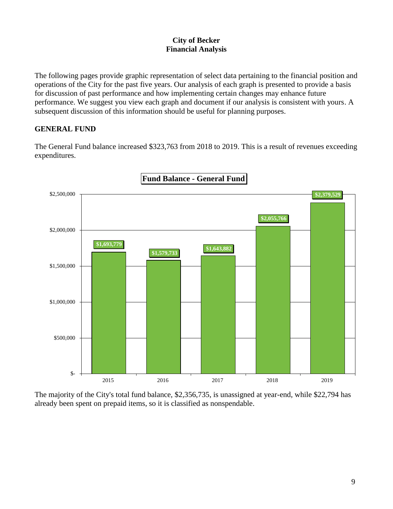The following pages provide graphic representation of select data pertaining to the financial position and operations of the City for the past five years. Our analysis of each graph is presented to provide a basis for discussion of past performance and how implementing certain changes may enhance future performance. We suggest you view each graph and document if our analysis is consistent with yours. A subsequent discussion of this information should be useful for planning purposes.

# **GENERAL FUND**

The General Fund balance increased \$323,763 from 2018 to 2019. This is a result of revenues exceeding expenditures.



The majority of the City's total fund balance, \$2,356,735, is unassigned at year-end, while \$22,794 has already been spent on prepaid items, so it is classified as nonspendable.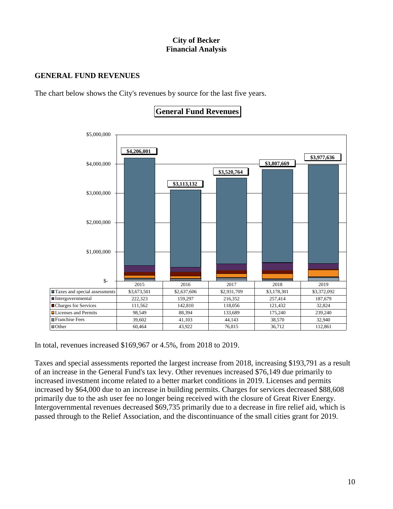# **GENERAL FUND REVENUES**

The chart below shows the City's revenues by source for the last five years.



**General Fund Revenues** 

In total, revenues increased \$169,967 or 4.5%, from 2018 to 2019.

Taxes and special assessments reported the largest increase from 2018, increasing \$193,791 as a result of an increase in the General Fund's tax levy. Other revenues increased \$76,149 due primarily to increased investment income related to a better market conditions in 2019. Licenses and permits increased by \$64,000 due to an increase in building permits. Charges for services decreased \$88,608 primarily due to the ash user fee no longer being received with the closure of Great River Energy. Intergovernmental revenues decreased \$69,735 primarily due to a decrease in fire relief aid, which is passed through to the Relief Association, and the discontinuance of the small cities grant for 2019.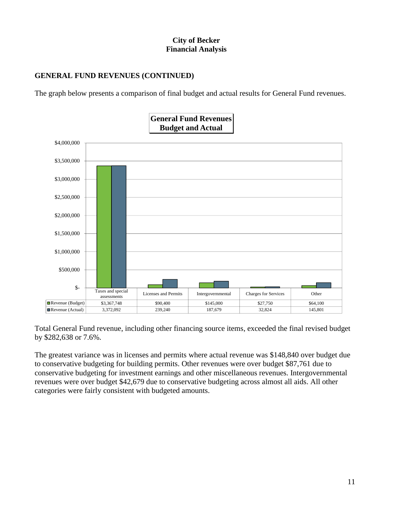# **GENERAL FUND REVENUES (CONTINUED)**

The graph below presents a comparison of final budget and actual results for General Fund revenues.



Total General Fund revenue, including other financing source items, exceeded the final revised budget by \$282,638 or 7.6%.

The greatest variance was in licenses and permits where actual revenue was \$148,840 over budget due to conservative budgeting for building permits. Other revenues were over budget \$87,761 due to conservative budgeting for investment earnings and other miscellaneous revenues. Intergovernmental revenues were over budget \$42,679 due to conservative budgeting across almost all aids. All other categories were fairly consistent with budgeted amounts.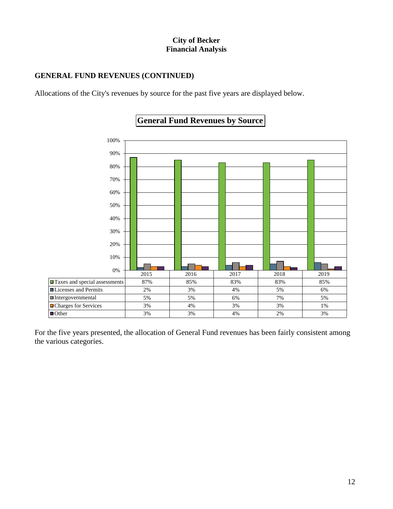# **GENERAL FUND REVENUES (CONTINUED)**

Allocations of the City's revenues by source for the past five years are displayed below.



# **General Fund Revenues by Source**

For the five years presented, the allocation of General Fund revenues has been fairly consistent among the various categories.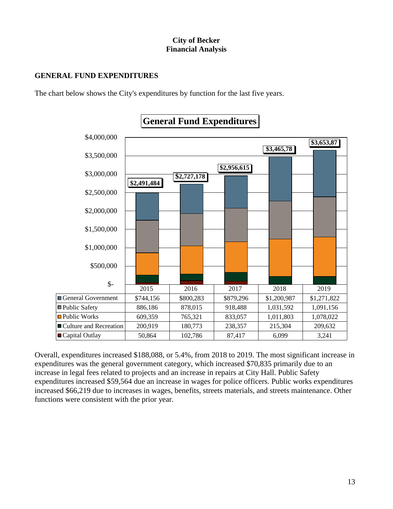# **GENERAL FUND EXPENDITURES**

The chart below shows the City's expenditures by function for the last five years.



# **General Fund Expenditures**

Overall, expenditures increased \$188,088, or 5.4%, from 2018 to 2019. The most significant increase in expenditures was the general government category, which increased \$70,835 primarily due to an increase in legal fees related to projects and an increase in repairs at City Hall. Public Safety expenditures increased \$59,564 due an increase in wages for police officers. Public works expenditures increased \$66,219 due to increases in wages, benefits, streets materials, and streets maintenance. Other functions were consistent with the prior year.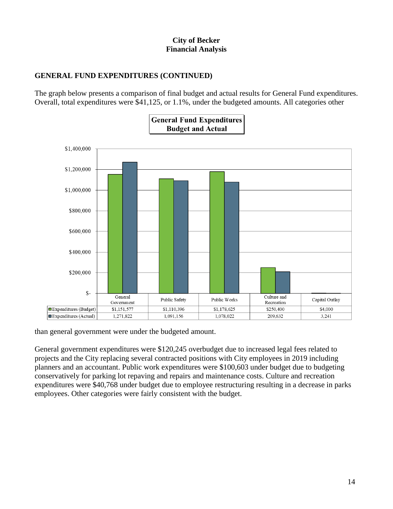# **GENERAL FUND EXPENDITURES (CONTINUED)**

The graph below presents a comparison of final budget and actual results for General Fund expenditures. Overall, total expenditures were \$41,125, or 1.1%, under the budgeted amounts. All categories other



than general government were under the budgeted amount.

General government expenditures were \$120,245 overbudget due to increased legal fees related to projects and the City replacing several contracted positions with City employees in 2019 including planners and an accountant. Public work expenditures were \$100,603 under budget due to budgeting conservatively for parking lot repaving and repairs and maintenance costs. Culture and recreation expenditures were \$40,768 under budget due to employee restructuring resulting in a decrease in parks employees. Other categories were fairly consistent with the budget.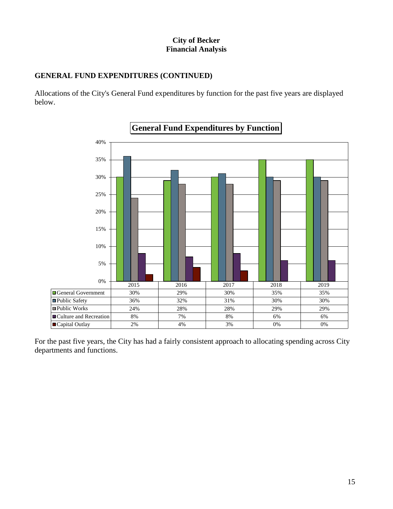# **GENERAL FUND EXPENDITURES (CONTINUED)**

Allocations of the City's General Fund expenditures by function for the past five years are displayed below.



For the past five years, the City has had a fairly consistent approach to allocating spending across City departments and functions.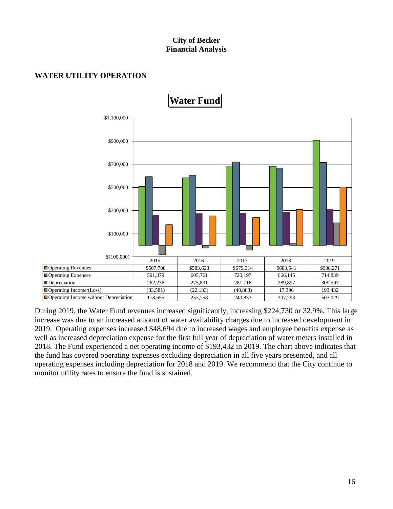# **WATER UTILITY OPERATION**



During 2019, the Water Fund revenues increased significantly, increasing \$224,730 or 32.9%. This large increase was due to an increased amount of water availability charges due to increased development in 2019. Operating expenses increased \$48,694 due to increased wages and employee benefits expense as well as increased depreciation expense for the first full year of depreciation of water meters installed in 2018. The Fund experienced a net operating income of \$193,432 in 2019. The chart above indicates that the fund has covered operating expenses excluding depreciation in all five years presented, and all operating expenses including depreciation for 2018 and 2019. We recommend that the City continue to monitor utility rates to ensure the fund is sustained.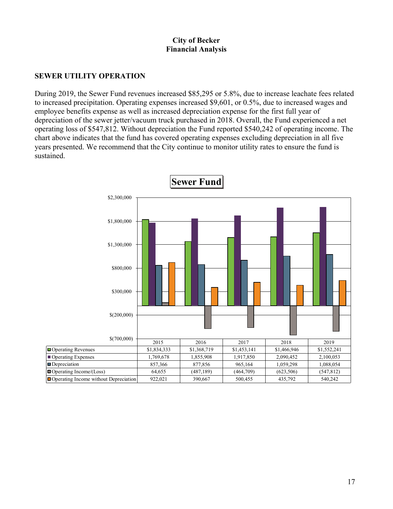# **SEWER UTILITY OPERATION**

During 2019, the Sewer Fund revenues increased \$85,295 or 5.8%, due to increase leachate fees related to increased precipitation. Operating expenses increased \$9,601, or 0.5%, due to increased wages and employee benefits expense as well as increased depreciation expense for the first full year of depreciation of the sewer jetter/vacuum truck purchased in 2018. Overall, the Fund experienced a net operating loss of \$547,812. Without depreciation the Fund reported \$540,242 of operating income. The chart above indicates that the fund has covered operating expenses excluding depreciation in all five years presented. We recommend that the City continue to monitor utility rates to ensure the fund is sustained.

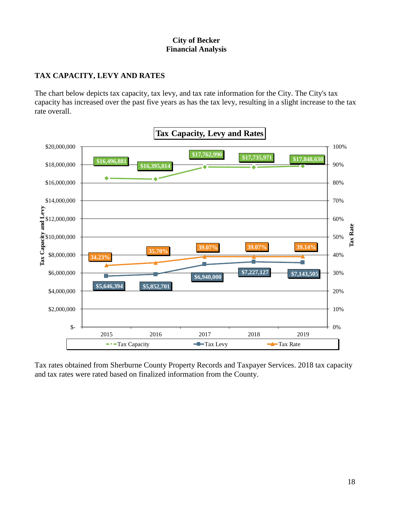# **TAX CAPACITY, LEVY AND RATES**

The chart below depicts tax capacity, tax levy, and tax rate information for the City. The City's tax capacity has increased over the past five years as has the tax levy, resulting in a slight increase to the tax rate overall.



Tax rates obtained from Sherburne County Property Records and Taxpayer Services. 2018 tax capacity and tax rates were rated based on finalized information from the County.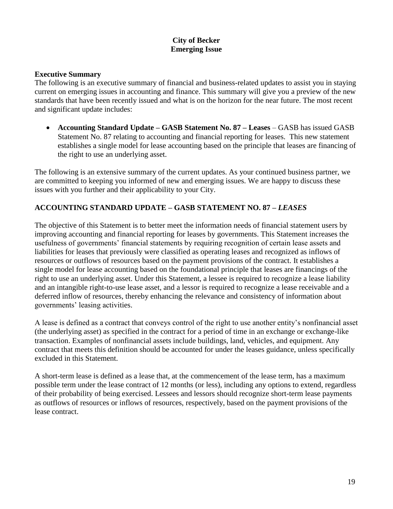# **City of Becker Emerging Issue**

#### **Executive Summary**

The following is an executive summary of financial and business-related updates to assist you in staying current on emerging issues in accounting and finance. This summary will give you a preview of the new standards that have been recently issued and what is on the horizon for the near future. The most recent and significant update includes:

 **Accounting Standard Update – GASB Statement No. 87 – Leases** – GASB has issued GASB Statement No. 87 relating to accounting and financial reporting for leases. This new statement establishes a single model for lease accounting based on the principle that leases are financing of the right to use an underlying asset.

The following is an extensive summary of the current updates. As your continued business partner, we are committed to keeping you informed of new and emerging issues. We are happy to discuss these issues with you further and their applicability to your City.

# **ACCOUNTING STANDARD UPDATE – GASB STATEMENT NO. 87 –** *LEASES*

The objective of this Statement is to better meet the information needs of financial statement users by improving accounting and financial reporting for leases by governments. This Statement increases the usefulness of governments' financial statements by requiring recognition of certain lease assets and liabilities for leases that previously were classified as operating leases and recognized as inflows of resources or outflows of resources based on the payment provisions of the contract. It establishes a single model for lease accounting based on the foundational principle that leases are financings of the right to use an underlying asset. Under this Statement, a lessee is required to recognize a lease liability and an intangible right-to-use lease asset, and a lessor is required to recognize a lease receivable and a deferred inflow of resources, thereby enhancing the relevance and consistency of information about governments' leasing activities.

A lease is defined as a contract that conveys control of the right to use another entity's nonfinancial asset (the underlying asset) as specified in the contract for a period of time in an exchange or exchange-like transaction. Examples of nonfinancial assets include buildings, land, vehicles, and equipment. Any contract that meets this definition should be accounted for under the leases guidance, unless specifically excluded in this Statement.

A short-term lease is defined as a lease that, at the commencement of the lease term, has a maximum possible term under the lease contract of 12 months (or less), including any options to extend, regardless of their probability of being exercised. Lessees and lessors should recognize short-term lease payments as outflows of resources or inflows of resources, respectively, based on the payment provisions of the lease contract.